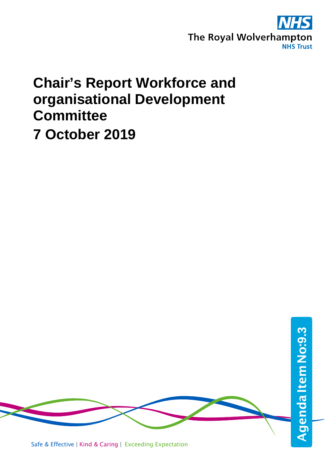

## **Chair's Report Workforce and organisational Development Committee 7 October 2019**

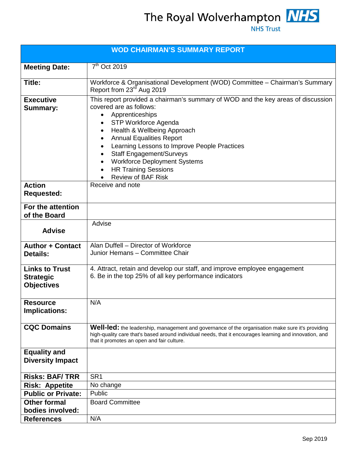The Royal Wolverhampton **NHS**<br>NHS Trust

| <b>WOD CHAIRMAN'S SUMMARY REPORT</b>                           |                                                                                                                                                                                                                                                                                                                                                                                                                                                                                   |  |  |  |  |  |
|----------------------------------------------------------------|-----------------------------------------------------------------------------------------------------------------------------------------------------------------------------------------------------------------------------------------------------------------------------------------------------------------------------------------------------------------------------------------------------------------------------------------------------------------------------------|--|--|--|--|--|
| <b>Meeting Date:</b>                                           | 7 <sup>th</sup> Oct 2019                                                                                                                                                                                                                                                                                                                                                                                                                                                          |  |  |  |  |  |
| Title:                                                         | Workforce & Organisational Development (WOD) Committee - Chairman's Summary<br>Report from 23 <sup>rd</sup> Aug 2019                                                                                                                                                                                                                                                                                                                                                              |  |  |  |  |  |
| <b>Executive</b><br><b>Summary:</b>                            | This report provided a chairman's summary of WOD and the key areas of discussion<br>covered are as follows:<br>Apprenticeships<br>$\bullet$<br>STP Workforce Agenda<br>٠<br>Health & Wellbeing Approach<br>٠<br><b>Annual Equalities Report</b><br>٠<br>Learning Lessons to Improve People Practices<br>$\bullet$<br><b>Staff Engagement/Surveys</b><br>$\bullet$<br><b>Workforce Deployment Systems</b><br>$\bullet$<br><b>HR Training Sessions</b><br><b>Review of BAF Risk</b> |  |  |  |  |  |
| <b>Action</b><br><b>Requested:</b>                             | Receive and note                                                                                                                                                                                                                                                                                                                                                                                                                                                                  |  |  |  |  |  |
| For the attention<br>of the Board                              |                                                                                                                                                                                                                                                                                                                                                                                                                                                                                   |  |  |  |  |  |
| <b>Advise</b>                                                  | Advise                                                                                                                                                                                                                                                                                                                                                                                                                                                                            |  |  |  |  |  |
| <b>Author + Contact</b><br><b>Details:</b>                     | Alan Duffell - Director of Workforce<br>Junior Hemans - Committee Chair                                                                                                                                                                                                                                                                                                                                                                                                           |  |  |  |  |  |
| <b>Links to Trust</b><br><b>Strategic</b><br><b>Objectives</b> | 4. Attract, retain and develop our staff, and improve employee engagement<br>6. Be in the top 25% of all key performance indicators                                                                                                                                                                                                                                                                                                                                               |  |  |  |  |  |
| <b>Resource</b><br><b>Implications:</b>                        | N/A                                                                                                                                                                                                                                                                                                                                                                                                                                                                               |  |  |  |  |  |
| <b>CQC Domains</b>                                             | Well-led: the leadership, management and governance of the organisation make sure it's providing<br>high-quality care that's based around individual needs, that it encourages learning and innovation, and<br>that it promotes an open and fair culture.                                                                                                                                                                                                                         |  |  |  |  |  |
| <b>Equality and</b><br><b>Diversity Impact</b>                 |                                                                                                                                                                                                                                                                                                                                                                                                                                                                                   |  |  |  |  |  |
| <b>Risks: BAF/TRR</b>                                          | SR <sub>1</sub>                                                                                                                                                                                                                                                                                                                                                                                                                                                                   |  |  |  |  |  |
| <b>Risk: Appetite</b>                                          | No change                                                                                                                                                                                                                                                                                                                                                                                                                                                                         |  |  |  |  |  |
| <b>Public or Private:</b>                                      | Public                                                                                                                                                                                                                                                                                                                                                                                                                                                                            |  |  |  |  |  |
| <b>Other formal</b>                                            | <b>Board Committee</b>                                                                                                                                                                                                                                                                                                                                                                                                                                                            |  |  |  |  |  |
| bodies involved:                                               |                                                                                                                                                                                                                                                                                                                                                                                                                                                                                   |  |  |  |  |  |
| <b>References</b>                                              | N/A                                                                                                                                                                                                                                                                                                                                                                                                                                                                               |  |  |  |  |  |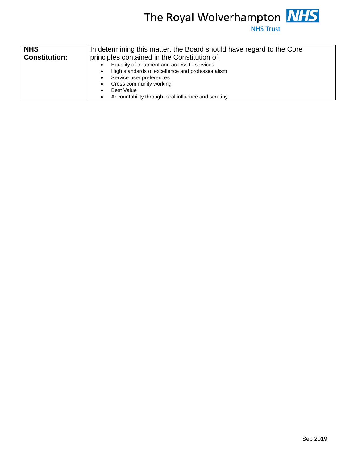

| <b>NHS</b>           | In determining this matter, the Board should have regard to the Core<br>principles contained in the Constitution of:                                                                                                                |  |  |  |  |
|----------------------|-------------------------------------------------------------------------------------------------------------------------------------------------------------------------------------------------------------------------------------|--|--|--|--|
| <b>Constitution:</b> |                                                                                                                                                                                                                                     |  |  |  |  |
|                      | Equality of treatment and access to services<br>High standards of excellence and professionalism<br>Service user preferences<br>Cross community working<br><b>Best Value</b><br>Accountability through local influence and scrutiny |  |  |  |  |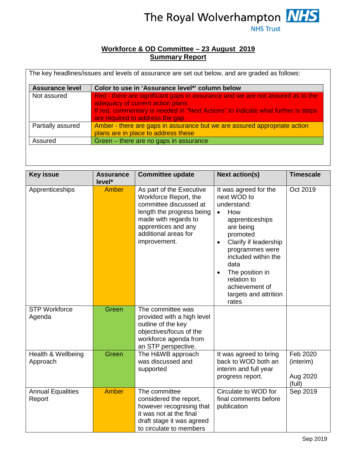

## **Workforce & OD Committee – 23 August 2019 Summary Report**

| <b>Assurance level</b> | Color to use in 'Assurance level*' column below                                                                                                                                                                                           |
|------------------------|-------------------------------------------------------------------------------------------------------------------------------------------------------------------------------------------------------------------------------------------|
| Not assured            | Red - there are significant gaps in assurance and we are not assured as to the<br>adequacy of current action plans<br>If red, commentary is needed in "Next Actions" to indicate what further is steps<br>are required to address the gap |
| Partially assured      | Amber - there are gaps in assurance but we are assured appropriate action<br>plans are in place to address these                                                                                                                          |
| Assured                | Green - there are no gaps in assurance                                                                                                                                                                                                    |

| <b>Key issue</b>                   | <b>Assurance</b><br>level* | <b>Committee update</b>                                                                                                                                                                         | <b>Next action(s)</b>                                                                                                                                                                                                                                                                                          | <b>Timescale</b>                            |
|------------------------------------|----------------------------|-------------------------------------------------------------------------------------------------------------------------------------------------------------------------------------------------|----------------------------------------------------------------------------------------------------------------------------------------------------------------------------------------------------------------------------------------------------------------------------------------------------------------|---------------------------------------------|
| Apprenticeships                    | <b>Amber</b>               | As part of the Executive<br>Workforce Report, the<br>committee discussed at<br>length the progress being<br>made with regards to<br>apprentices and any<br>additional areas for<br>improvement. | It was agreed for the<br>next WOD to<br>understand:<br>How<br>$\bullet$<br>apprenticeships<br>are being<br>promoted<br>Clarify if leadership<br>$\bullet$<br>programmes were<br>included within the<br>data<br>The position in<br>$\bullet$<br>relation to<br>achievement of<br>targets and attrition<br>rates | Oct 2019                                    |
| <b>STP Workforce</b><br>Agenda     | Green                      | The committee was<br>provided with a high level<br>outline of the key<br>objectives/focus of the<br>workforce agenda from<br>an STP perspective.                                                |                                                                                                                                                                                                                                                                                                                |                                             |
| Health & Wellbeing<br>Approach     | Green                      | The H&WB approach<br>was discussed and<br>supported                                                                                                                                             | It was agreed to bring<br>back to WOD both an<br>interim and full year<br>progress report.                                                                                                                                                                                                                     | Feb 2020<br>(interim)<br>Aug 2020<br>(full) |
| <b>Annual Equalities</b><br>Report | <b>Amber</b>               | The committee<br>considered the report,<br>however recognising that<br>it was not at the final<br>draft stage it was agreed<br>to circulate to members                                          | Circulate to WOD for<br>final comments before<br>publication                                                                                                                                                                                                                                                   | Sep 2019                                    |